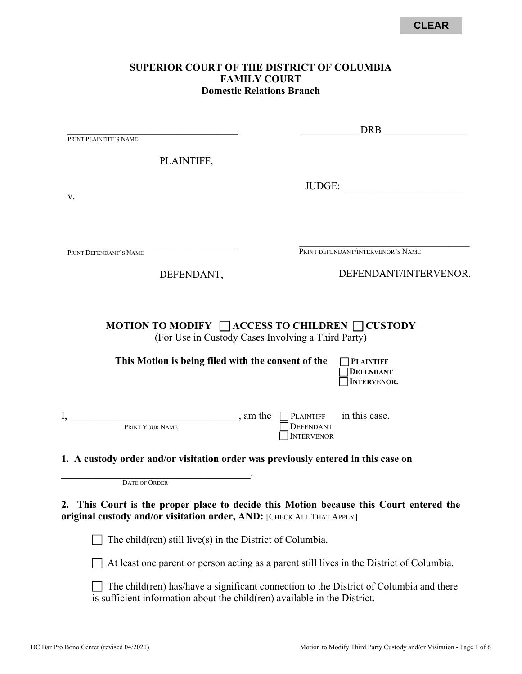### **SUPERIOR COURT OF THE DISTRICT OF COLUMBIA FAMILY COURT Domestic Relations Branch**

| PRINT PLAINTIFF'S NAME                                                                                                                                          |                                                              |                   |                                                                                           |
|-----------------------------------------------------------------------------------------------------------------------------------------------------------------|--------------------------------------------------------------|-------------------|-------------------------------------------------------------------------------------------|
| PLAINTIFF,                                                                                                                                                      |                                                              |                   |                                                                                           |
| V.                                                                                                                                                              |                                                              |                   | JUDGE:                                                                                    |
| PRINT DEFENDANT'S NAME                                                                                                                                          |                                                              |                   | PRINT DEFENDANT/INTERVENOR'S NAME                                                         |
| DEFENDANT,                                                                                                                                                      |                                                              |                   | DEFENDANT/INTERVENOR.                                                                     |
| This Motion is being filed with the consent of the                                                                                                              |                                                              |                   | <b>PLAINTIFF</b><br><b>DEFENDANT</b><br>INTERVENOR.                                       |
|                                                                                                                                                                 | (For Use in Custody Cases Involving a Third Party)           |                   |                                                                                           |
| $\mathbf{I},$<br>PRINT YOUR NAME                                                                                                                                | $\sum_{n=1}^{\infty}$ am the $\sum_{n=1}^{\infty}$ PLAINTIFF | <b>DEFENDANT</b>  | in this case.                                                                             |
|                                                                                                                                                                 |                                                              | <b>INTERVENOR</b> |                                                                                           |
| 1. A custody order and/or visitation order was previously entered in this case on                                                                               |                                                              |                   |                                                                                           |
| <b>DATE OF ORDER</b>                                                                                                                                            |                                                              |                   |                                                                                           |
| 2. This Court is the proper place to decide this Motion because this Court entered the<br>original custody and/or visitation order, AND: [CHECK ALL THAT APPLY] |                                                              |                   |                                                                                           |
| The child $(\text{ren})$ still live $(s)$ in the District of Columbia.                                                                                          |                                                              |                   |                                                                                           |
|                                                                                                                                                                 |                                                              |                   | At least one parent or person acting as a parent still lives in the District of Columbia. |

 $\Box$  The child(ren) has/have a significant connection to the District of Columbia and there is sufficient information about the child(ren) available in the District.

 $I,$  am the  $\Box$  PLAINTIFF in this case.

\_\_\_\_\_\_\_\_\_\_\_ DRB \_\_\_\_\_\_\_\_\_\_\_\_\_\_\_\_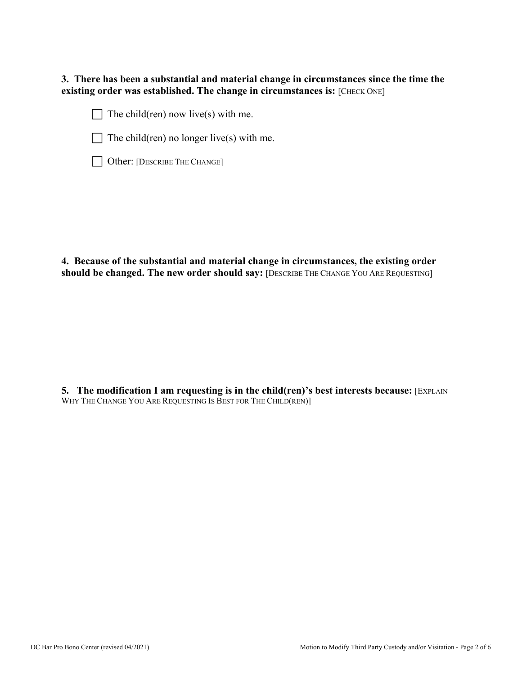**3. There has been a substantial and material change in circumstances since the time the existing order was established. The change in circumstances is:** [CHECK ONE]

 $\Box$  The child(ren) now live(s) with me.



 $\Box$  The child(ren) no longer live(s) with me.

|  | Other: [DESCRIBE THE CHANGE] |
|--|------------------------------|

**4. Because of the substantial and material change in circumstances, the existing order should be changed. The new order should say:** [DESCRIBE THE CHANGE YOU ARE REQUESTING]

**5.** The modification I am requesting is in the child(ren)'s best interests because: [EXPLAIN WHY THE CHANGE YOU ARE REQUESTING IS BEST FOR THE CHILD(REN)]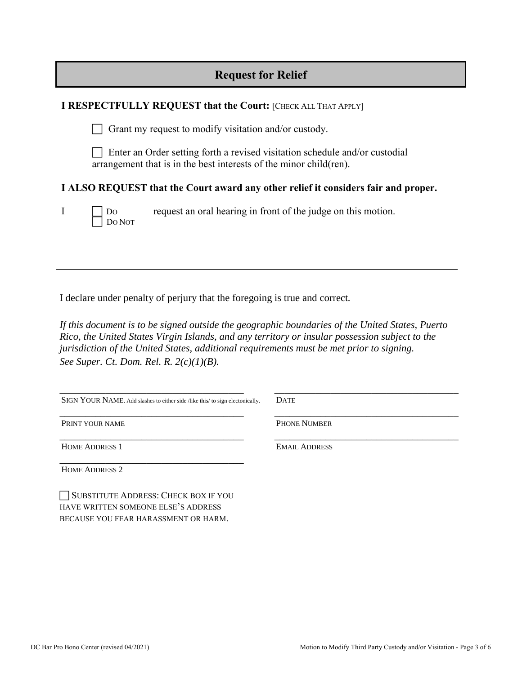| <b>Request for Relief</b> |  |  |  |  |
|---------------------------|--|--|--|--|
|---------------------------|--|--|--|--|

|              |                                                                                                                                                    | <b>I RESPECTFULLY REQUEST that the Court: [CHECK ALL THAT APPLY]</b>               |  |
|--------------|----------------------------------------------------------------------------------------------------------------------------------------------------|------------------------------------------------------------------------------------|--|
|              |                                                                                                                                                    | Grant my request to modify visitation and/or custody.                              |  |
|              | Enter an Order setting forth a revised visitation schedule and/or custodial<br>arrangement that is in the best interests of the minor child (ren). |                                                                                    |  |
|              |                                                                                                                                                    | I ALSO REQUEST that the Court award any other relief it considers fair and proper. |  |
| $\mathbf{I}$ | ] Do<br>1 Do Not                                                                                                                                   | request an oral hearing in front of the judge on this motion.                      |  |

I declare under penalty of perjury that the foregoing is true and correct*.* 

*If this document is to be signed outside the geographic boundaries of the United States, Puerto Rico, the United States Virgin Islands, and any territory or insular possession subject to the jurisdiction of the United States, additional requirements must be met prior to signing. See Super. Ct. Dom. Rel. R. 2(c)(1)(B).*

| SIGN YOUR NAME. Add slashes to either side /like this/ to sign electonically. | <b>DATE</b>          |
|-------------------------------------------------------------------------------|----------------------|
| PRINT YOUR NAME                                                               | <b>PHONE NUMBER</b>  |
| <b>HOME ADDRESS 1</b>                                                         | <b>EMAIL ADDRESS</b> |
| <b>HOME ADDRESS 2</b>                                                         |                      |

SUBSTITUTE ADDRESS: CHECK BOX IF YOU HAVE WRITTEN SOMEONE ELSE'S ADDRESS BECAUSE YOU FEAR HARASSMENT OR HARM.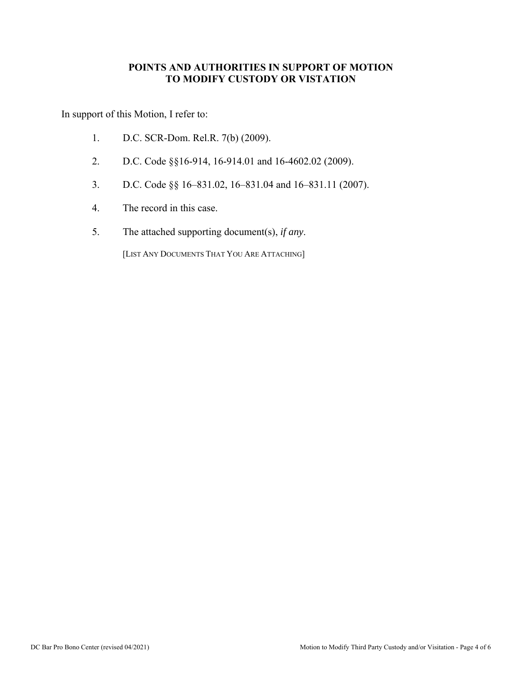#### **POINTS AND AUTHORITIES IN SUPPORT OF MOTION TO MODIFY CUSTODY OR VISTATION**

In support of this Motion, I refer to:

- 1. D.C. SCR-Dom. Rel.R. 7(b) (2009).
- 2. D.C. Code §§16-914, 16-914.01 and 16-4602.02 (2009).
- 3. D.C. Code §§ 16–831.02, 16–831.04 and 16–831.11 (2007).
- 4. The record in this case.
- 5. The attached supporting document(s), *if any*.

[LIST ANY DOCUMENTS THAT YOU ARE ATTACHING]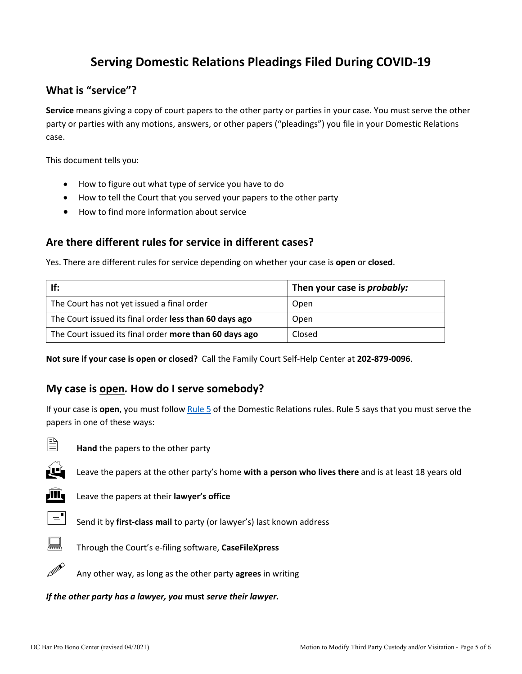# **Serving Domestic Relations Pleadings Filed During COVID-19**

## **What is "service"?**

**Service** means giving a copy of court papers to the other party or parties in your case. You must serve the other party or parties with any motions, answers, or other papers ("pleadings") you file in your Domestic Relations case.

This document tells you:

- How to figure out what type of service you have to do
- How to tell the Court that you served your papers to the other party
- How to find more information about service

## **Are there different rules for service in different cases?**

Yes. There are different rules for service depending on whether your case is **open** or **closed**.

| If:                                                    | Then your case is <i>probably:</i> |
|--------------------------------------------------------|------------------------------------|
| The Court has not yet issued a final order             | Open                               |
| The Court issued its final order less than 60 days ago | Open                               |
| The Court issued its final order more than 60 days ago | Closed                             |

**Not sure if your case is open or closed?** Call the Family Court Self-Help Center at **202-879-0096**.

#### **My case is open***.* **How do I serve somebody?**

If your case is **open**, you must follow [Rule 5](http://www.dccourts.gov/sites/default/files/rules-superior-court/DR%20Rule%205.%20Serving%20and%20Filing%20of%20Other%20Pleadings%20and%20Papers.pdf) of the Domestic Relations rules. Rule 5 says that you must serve the papers in one of these ways:



**Hand** the papers to the other party



Leave the papers at the other party's home **with a person who lives there** and is at least 18 years old



**III** Leave the papers at their **lawyer's office** 



 $\equiv$  Send it by **first-class mail** to party (or lawyer's) last known address



Through the Court's e-filing software, **CaseFileXpress**



Any other way, as long as the other party **agrees** in writing

*If the other party has a lawyer, you* **must** *serve their lawyer.*